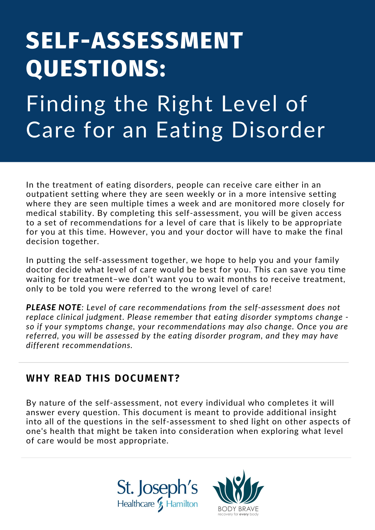# **SELF-ASSESSMENT QUESTIONS:**

Finding the Right Level of Care for an Eating Disorder

In the treatment of eating disorders, people can receive care either in an outpatient setting where they are seen weekly or in a more intensive setting where they are seen multiple times a week and are monitored more closely for medical stability. By completing this self-assessment, you will be given access to a set of recommendations for a level of care that is likely to be appropriate for you at this time. However, you and your doctor will have to make the final decision together.

In putting the self-assessment together, we hope to help you and your family doctor decide what level of care would be best for you. This can save you time waiting for treatment–we don't want you to wait months to receive treatment, only to be told you were referred to the wrong level of care!

*PLEASE NOTE: Level of care recommendations from the self-assessment does not replace clinical judgment. Please remember that eating disorder symptoms change so if your symptoms change, your recommendations may also change. Once you are referred, you will be assessed by the eating disorder program, and they may have different recommendations.*

### **WHY READ THIS DOCUMENT?**

By nature of the self-assessment, not every individual who completes it will answer every question. This document is meant to provide additional insight into all of the questions in the self-assessment to shed light on other aspects of one's health that might be taken into consideration when exploring what level of care would be most appropriate.



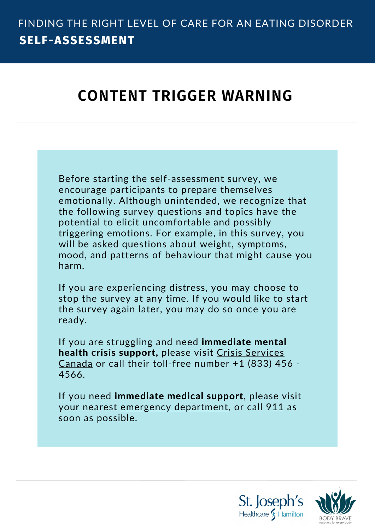# **CONTENT TRIGGER WARNING**

Before starting the self-assessment survey, we encourage participants to prepare themselves emotionally. Although unintended, we recognize that the following survey questions and topics have the potential to elicit uncomfortable and possibly triggering emotions. For example, in this survey, you will be asked questions about weight, symptoms, mood, and patterns of behaviour that might cause you harm.

If you are experiencing distress, you may choose to stop the survey at any time. If you would like to start the survey again later, you may do so once you are ready.

If you are struggling and need **immediate mental** health crisis [support,](https://www.crisisservicescanada.ca/en/call-us/) please visit Crisis Services Canada or call their toll-free number +1 (833) 456 - 4566.

If you need immediate medical support, please visit your nearest emergency department, or call 911 as soon as possible.

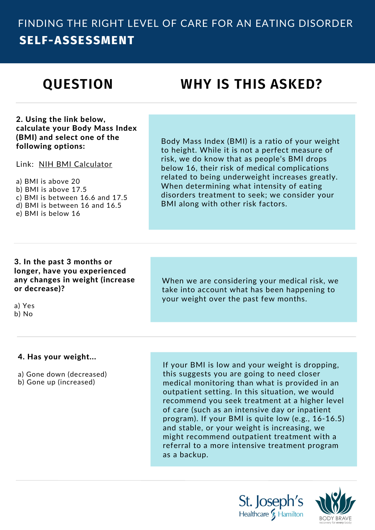# **QUESTION**

# **WHY IS THIS ASKED?**

2. Using the link below, calculate your Body Mass Index (BMI) and select one of the following options:

Link: NIH BMI [Calculator](https://www.nhlbi.nih.gov/health/educational/lose_wt/BMI/bmicalc.htm)

a) BMI is above 20 b) BMI is above 17.5 c) BMI is between 16.6 and 17.5 d) BMI is between 16 and 16.5 e) BMI is below 16

Body Mass Index (BMI) is a ratio of your weight to height. While it is not a perfect measure of risk, we do know that as people's BMI drops below 16, their risk of medical complications related to being underweight increases greatly. When determining what intensity of eating disorders treatment to seek; we consider your BMI along with other risk factors.

### 3. In the past 3 months or longer, have you experienced any changes in weight (increase or decrease)?

a) Yes b) No

When we are considering your medical risk, we take into account what has been happening to your weight over the past few months.

### 4. Has your weight...

a) Gone down (decreased)

b) Gone up (increased)

If your BMI is low and your weight is dropping, this suggests you are going to need closer medical monitoring than what is provided in an outpatient setting. In this situation, we would recommend you seek treatment at a higher level of care (such as an intensive day or inpatient program). If your BMI is quite low (e.g., 16-16.5) and stable, or your weight is increasing, we might recommend outpatient treatment with a referral to a more intensive treatment program as a backup.



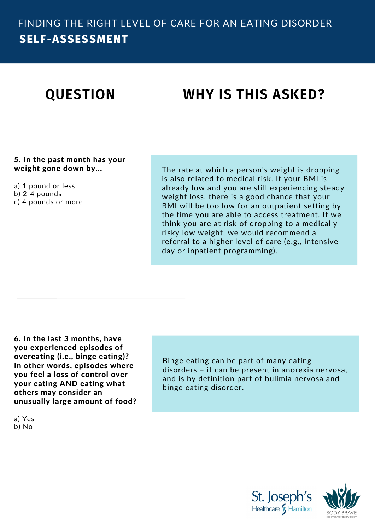# **QUESTION WHY IS THIS ASKED?**

5. In the past month has your weight gone down by...

a) 1 pound or less b) 2-4 pounds c) 4 pounds or more The rate at which a person's weight is dropping is also related to medical risk. If your BMI is already low and you are still experiencing steady weight loss, there is a good chance that your BMI will be too low for an outpatient setting by the time you are able to access treatment. If we think you are at risk of dropping to a medically risky low weight, we would recommend a referral to a higher level of care (e.g., intensive day or inpatient programming).

6. In the last 3 months, have you experienced episodes of overeating (i.e., binge eating)? In other words, episodes where you feel a loss of control over your eating AND eating what others may consider an unusually large amount of food?

a) Yes b) No

Binge eating can be part of many eating disorders – it can be present in anorexia nervosa, and is by definition part of bulimia nervosa and binge eating disorder.

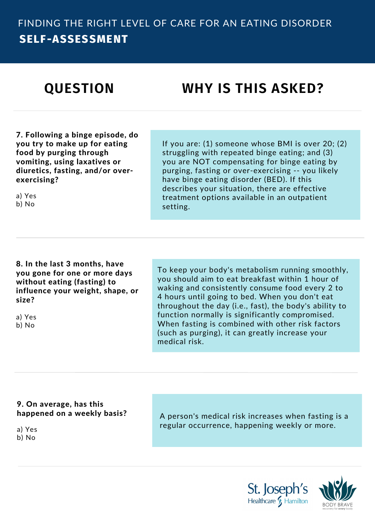# **QUESTION WHY IS THIS ASKED?**

7. Following a binge episode, do you try to make up for eating food by purging through vomiting, using laxatives or diuretics, fasting, and/or overexercising?

a) Yes b) No

If you are: (1) someone whose BMI is over 20; (2) struggling with repeated binge eating; and (3) you are NOT compensating for binge eating by purging, fasting or over-exercising -- you likely have binge eating disorder (BED). If this describes your situation, there are effective treatment options available in an outpatient setting.

8. In the last 3 months, have you gone for one or more days without eating (fasting) to influence your weight, shape, or size?

a) Yes b) No

To keep your body's metabolism running smoothly, you should aim to eat breakfast within 1 hour of waking and consistently consume food every 2 to 4 hours until going to bed. When you don't eat throughout the day (i.e., fast), the body's ability to function normally is significantly compromised. When fasting is combined with other risk factors (such as purging), it can greatly increase your medical risk.

### 9. On average, has this happened on a weekly basis?

a) Yes

b) No

A person's medical risk increases when fasting is a regular occurrence, happening weekly or more.



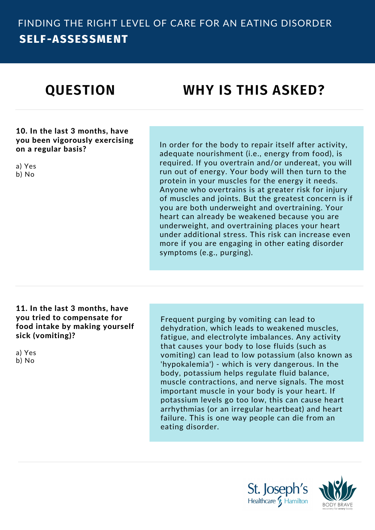# **QUESTION WHY IS THIS ASKED?**

10. In the last 3 months, have you been vigorously exercising on a regular basis?

a) Yes b) No

In order for the body to repair itself after activity, adequate nourishment (i.e., energy from food), is required. If you overtrain and/or undereat, you will run out of energy. Your body will then turn to the protein in your muscles for the energy it needs. Anyone who overtrains is at greater risk for injury of muscles and joints. But the greatest concern is if you are both underweight and overtraining. Your heart can already be weakened because you are underweight, and overtraining places your heart under additional stress. This risk can increase even more if you are engaging in other eating disorder symptoms (e.g., purging).

#### 11. In the last 3 months, have you tried to compensate for food intake by making yourself sick (vomiting)?

a) Yes

b) No

Frequent purging by vomiting can lead to dehydration, which leads to weakened muscles, fatigue, and electrolyte imbalances. Any activity that causes your body to lose fluids (such as vomiting) can lead to low potassium (also known as 'hypokalemia') - which is very dangerous. In the body, potassium helps regulate fluid balance, muscle contractions, and nerve signals. The most important muscle in your body is your heart. If potassium levels go too low, this can cause heart arrhythmias (or an irregular heartbeat) and heart failure. This is one way people can die from an eating disorder.



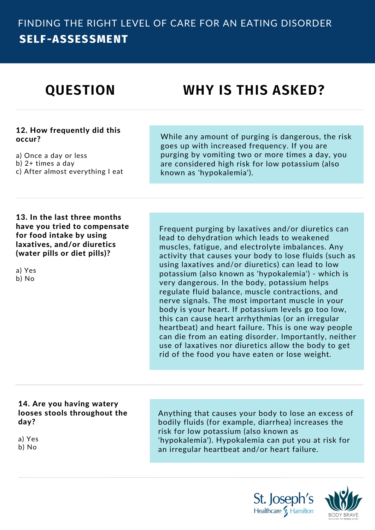# **QUESTION WHY IS THIS ASKED?**

### 12. How frequently did this occur?

a) Once a day or less

- b) 2+ times a day
- c) After almost everything I eat

While any amount of purging is dangerous, the risk goes up with increased frequency. If you are purging by vomiting two or more times a day, you are considered high risk for low potassium (also known as 'hypokalemia').

13. In the last three months have you tried to compensate for food intake by using laxatives, and/or diuretics (water pills or diet pills)?

a) Yes b) No

Frequent purging by laxatives and/or diuretics can lead to dehydration which leads to weakened muscles, fatigue, and electrolyte imbalances. Any activity that causes your body to lose fluids (such as using laxatives and/or diuretics) can lead to low potassium (also known as 'hypokalemia') - which is very dangerous. In the body, potassium helps regulate fluid balance, muscle contractions, and nerve signals. The most important muscle in your body is your heart. If potassium levels go too low, this can cause heart arrhythmias (or an irregular heartbeat) and heart failure. This is one way people can die from an eating disorder. Importantly, neither use of laxatives nor diuretics allow the body to get rid of the food you have eaten or lose weight.

### 14. Are you having watery looses stools throughout the day?

a) Yes

b) No

Anything that causes your body to lose an excess of bodily fluids (for example, diarrhea) increases the risk for low potassium (also known as 'hypokalemia'). Hypokalemia can put you at risk for an irregular heartbeat and/or heart failure.



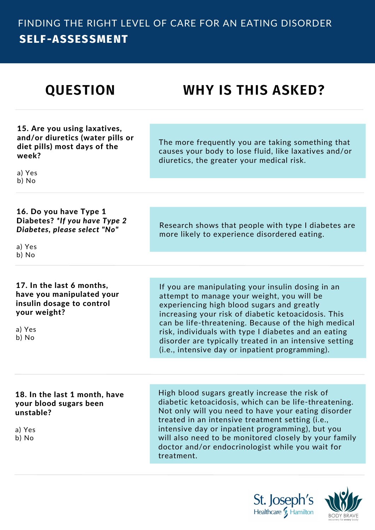# **QUESTION WHY IS THIS ASKED?**

15. Are you using laxatives, and/or diuretics (water pills or diet pills) most days of the week?

The more frequently you are taking something that causes your body to lose fluid, like laxatives and/or diuretics, the greater your medical risk.

Research shows that people with type I diabetes are

more likely to experience disordered eating.

a) Yes b) No

16. Do you have Type 1 Diabetes? *\*If you have Type 2 Diabetes, please select "No"*

a) Yes b) No

### 17. In the last 6 months, have you manipulated your insulin dosage to control your weight?

a) Yes b) No

If you are manipulating your insulin dosing in an attempt to manage your weight, you will be experiencing high blood sugars and greatly increasing your risk of diabetic ketoacidosis. This can be life-threatening. Because of the high medical risk, individuals with type I diabetes and an eating disorder are typically treated in an intensive setting (i.e., intensive day or inpatient programming).

### 18. In the last 1 month, have your blood sugars been unstable?

a) Yes b) No

High blood sugars greatly increase the risk of diabetic ketoacidosis, which can be life-threatening. Not only will you need to have your eating disorder treated in an intensive treatment setting (i.e., intensive day or inpatient programming), but you will also need to be monitored closely by your family doctor and/or endocrinologist while you wait for treatment.



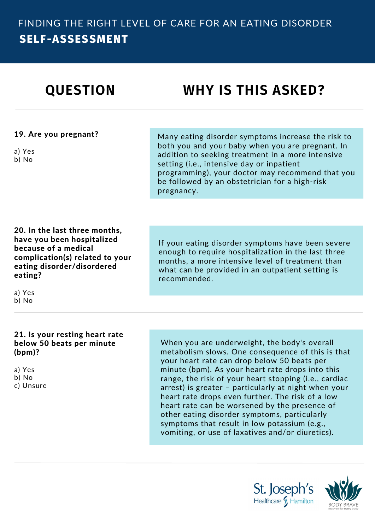| <b>QUESTION</b>                                                                                                                                                           | <b>WHY IS THIS ASKED?</b>                                                                                                                                                                                                                                                                                                                                                                                                                                                                                                                                                      |
|---------------------------------------------------------------------------------------------------------------------------------------------------------------------------|--------------------------------------------------------------------------------------------------------------------------------------------------------------------------------------------------------------------------------------------------------------------------------------------------------------------------------------------------------------------------------------------------------------------------------------------------------------------------------------------------------------------------------------------------------------------------------|
|                                                                                                                                                                           |                                                                                                                                                                                                                                                                                                                                                                                                                                                                                                                                                                                |
| 19. Are you pregnant?<br>a) Yes<br>b) No                                                                                                                                  | Many eating disorder symptoms increase the risk to<br>both you and your baby when you are pregnant. In<br>addition to seeking treatment in a more intensive<br>setting (i.e., intensive day or inpatient<br>programming), your doctor may recommend that you<br>be followed by an obstetrician for a high-risk<br>pregnancy.                                                                                                                                                                                                                                                   |
|                                                                                                                                                                           |                                                                                                                                                                                                                                                                                                                                                                                                                                                                                                                                                                                |
| 20. In the last three months,<br>have you been hospitalized<br>because of a medical<br>complication(s) related to your<br>eating disorder/disordered<br>eating?<br>a) Yes | If your eating disorder symptoms have been severe<br>enough to require hospitalization in the last three<br>months, a more intensive level of treatment than<br>what can be provided in an outpatient setting is<br>recommended.                                                                                                                                                                                                                                                                                                                                               |
| b) No                                                                                                                                                                     |                                                                                                                                                                                                                                                                                                                                                                                                                                                                                                                                                                                |
|                                                                                                                                                                           |                                                                                                                                                                                                                                                                                                                                                                                                                                                                                                                                                                                |
| 21. Is your resting heart rate<br>below 50 beats per minute<br>(bpm)?<br>a) Yes<br>b) No<br>c) Unsure                                                                     | When you are underweight, the body's overall<br>metabolism slows. One consequence of this is that<br>your heart rate can drop below 50 beats per<br>minute (bpm). As your heart rate drops into this<br>range, the risk of your heart stopping (i.e., cardiac<br>arrest) is greater - particularly at night when your<br>heart rate drops even further. The risk of a low<br>heart rate can be worsened by the presence of<br>other eating disorder symptoms, particularly<br>symptoms that result in low potassium (e.g.,<br>vomiting, or use of laxatives and/or diuretics). |
|                                                                                                                                                                           |                                                                                                                                                                                                                                                                                                                                                                                                                                                                                                                                                                                |

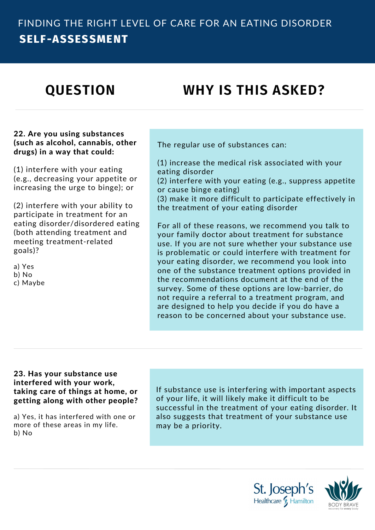# **QUESTION WHY IS THIS ASKED?**

### 22. Are you using substances (such as alcohol, cannabis, other drugs) in a way that could:

(1) interfere with your eating (e.g., decreasing your appetite or increasing the urge to binge); or

(2) interfere with your ability to participate in treatment for an eating disorder/disordered eating (both attending treatment and meeting treatment-related goals)?

a) Yes b) No c) Maybe The regular use of substances can:

(1) increase the medical risk associated with your eating disorder

(2) interfere with your eating (e.g., suppress appetite or cause binge eating)

(3) make it more difficult to participate effectively in the treatment of your eating disorder

For all of these reasons, we recommend you talk to your family doctor about treatment for substance use. If you are not sure whether your substance use is problematic or could interfere with treatment for your eating disorder, we recommend you look into one of the substance treatment options provided in the recommendations document at the end of the survey. Some of these options are low-barrier, do not require a referral to a treatment program, and are designed to help you decide if you do have a reason to be concerned about your substance use.

### 23. Has your substance use interfered with your work, taking care of things at home, or getting along with other people?

a) Yes, it has interfered with one or more of these areas in my life. b) No

If substance use is interfering with important aspects of your life, it will likely make it difficult to be successful in the treatment of your eating disorder. It also suggests that treatment of your substance use may be a priority.



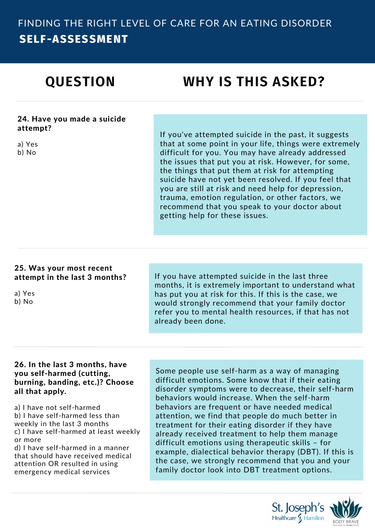# **QUESTION WHY IS THIS ASKED?**

#### 24. Have you made a suicide attempt?

a) Yes

b) No

If you've attempted suicide in the past, it suggests that at some point in your life, things were extremely difficult for you. You may have already addressed the issues that put you at risk. However, for some, the things that put them at risk for attempting suicide have not yet been resolved. If you feel that you are still at risk and need help for depression, trauma, emotion regulation, or other factors, we recommend that you speak to your doctor about getting help for these issues.

### 25. Was your most recent attempt in the last 3 months?

a) Yes b) No

If you have attempted suicide in the last three months, it is extremely important to understand what has put you at risk for this. If this is the case, we would strongly recommend that your family doctor refer you to mental health resources, if that has not already been done.

### 26. In the last 3 months, have you self-harmed (cutting, burning, banding, etc.)? Choose all that apply.

a) I have not self-harmed b) I have self-harmed less than weekly in the last 3 months c) I have self-harmed at least weekly or more

d) I have self-harmed in a manner that should have received medical attention OR resulted in using emergency medical services

Some people use self-harm as a way of managing difficult emotions. Some know that if their eating disorder symptoms were to decrease, their self-harm behaviors would increase. When the self-harm behaviors are frequent or have needed medical attention, we find that people do much better in treatment for their eating disorder if they have already received treatment to help them manage difficult emotions using therapeutic skills – for example, dialectical behavior therapy (DBT). If this is the case, we strongly recommend that you and your family doctor look into DBT treatment options.

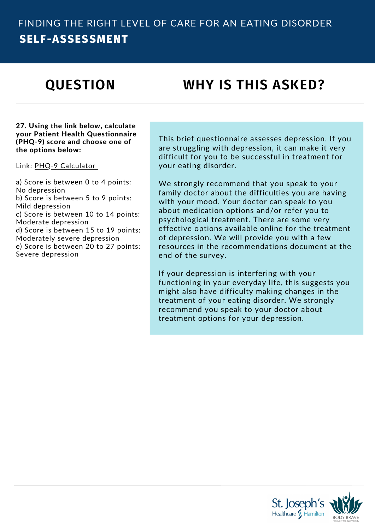# **QUESTION WHY IS THIS ASKED?**

#### 27. Using the link below, calculate your Patient Health Questionnaire (PHQ-9) score and choose one of the options below:

Link: PHQ-9 [Calculator](https://www.uptodate.com/contents/calculator-depression-screening-by-a-nine-item-patient-health-questionnaire-phq-9-in-adults)

a) Score is between 0 to 4 points: No depression b) Score is between 5 to 9 points: Mild depression c) Score is between 10 to 14 points: Moderate depression d) Score is between 15 to 19 points: Moderately severe depression e) Score is between 20 to 27 points: Severe depression

This brief questionnaire assesses depression. If you are struggling with depression, it can make it very difficult for you to be successful in treatment for your eating disorder.

We strongly recommend that you speak to your family doctor about the difficulties you are having with your mood. Your doctor can speak to you about medication options and/or refer you to psychological treatment. There are some very effective options available online for the treatment of depression. We will provide you with a few resources in the recommendations document at the end of the survey.

If your depression is interfering with your functioning in your everyday life, this suggests you might also have difficulty making changes in the treatment of your eating disorder. We strongly recommend you speak to your doctor about treatment options for your depression.